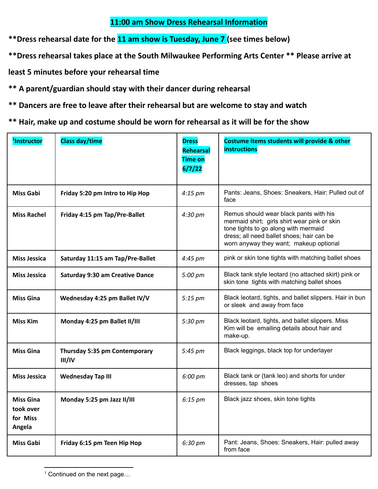## **11:00 am Show Dress Rehearsal Information**

**\*\*Dress rehearsal date for the 11 am show is Tuesday, June 7 (see times below)**

**\*\*Dress rehearsal takes place at the South Milwaukee Performing Arts Center \*\* Please arrive at**

**least 5 minutes before your rehearsal time**

**\*\* A parent/guardian should stay with their dancer during rehearsal**

**\*\* Dancers are free to leave after their rehearsal but are welcome to stay and watch**

**\*\* Hair, make up and costume should be worn for rehearsal as it will be for the show**

| <sup>1</sup> Instructor                             | <b>Class day/time</b>                   | <b>Dress</b><br><b>Rehearsal</b><br><b>Time on</b><br>6/7/22 | Costume items students will provide & other<br><b>instructions</b>                                                                                                                                                    |
|-----------------------------------------------------|-----------------------------------------|--------------------------------------------------------------|-----------------------------------------------------------------------------------------------------------------------------------------------------------------------------------------------------------------------|
| <b>Miss Gabi</b>                                    | Friday 5:20 pm Intro to Hip Hop         | $4:15~\mathrm{pm}$                                           | Pants: Jeans, Shoes: Sneakers, Hair: Pulled out of<br>face                                                                                                                                                            |
| <b>Miss Rachel</b>                                  | Friday 4:15 pm Tap/Pre-Ballet           | 4:30 pm                                                      | Remus should wear black pants with his<br>mermaid shirt; girls shirt wear pink or skin<br>tone tights to go along with mermaid<br>dress; all need ballet shoes; hair can be<br>worn anyway they want; makeup optional |
| <b>Miss Jessica</b>                                 | Saturday 11:15 am Tap/Pre-Ballet        | $4:45 \text{ pm}$                                            | pink or skin tone tights with matching ballet shoes                                                                                                                                                                   |
| Miss Jessica                                        | <b>Saturday 9:30 am Creative Dance</b>  | $5:00 \text{ pm}$                                            | Black tank style leotard (no attached skirt) pink or<br>skin tone tights with matching ballet shoes                                                                                                                   |
| <b>Miss Gina</b>                                    | Wednesday 4:25 pm Ballet IV/V           | $5:15~\text{pm}$                                             | Black leotard, tights, and ballet slippers. Hair in bun<br>or sleek and away from face                                                                                                                                |
| <b>Miss Kim</b>                                     | Monday 4:25 pm Ballet II/III            | $5:30 \text{ pm}$                                            | Black leotard, tights, and ballet slippers. Miss<br>Kim will be emailing details about hair and<br>make-up.                                                                                                           |
| <b>Miss Gina</b>                                    | Thursday 5:35 pm Contemporary<br>III/IV | 5:45 pm                                                      | Black leggings, black top for underlayer                                                                                                                                                                              |
| <b>Miss Jessica</b>                                 | <b>Wednesday Tap III</b>                | 6:00 pm                                                      | Black tank or (tank leo) and shorts for under<br>dresses, tap shoes                                                                                                                                                   |
| <b>Miss Gina</b><br>took over<br>for Miss<br>Angela | Monday 5:25 pm Jazz II/III              | $6:15~\mathrm{pm}$                                           | Black jazz shoes, skin tone tights                                                                                                                                                                                    |
| <b>Miss Gabi</b>                                    | Friday 6:15 pm Teen Hip Hop             | 6:30 pm                                                      | Pant: Jeans, Shoes: Sneakers, Hair: pulled away<br>from face                                                                                                                                                          |

<sup>&</sup>lt;sup>1</sup> Continued on the next page...